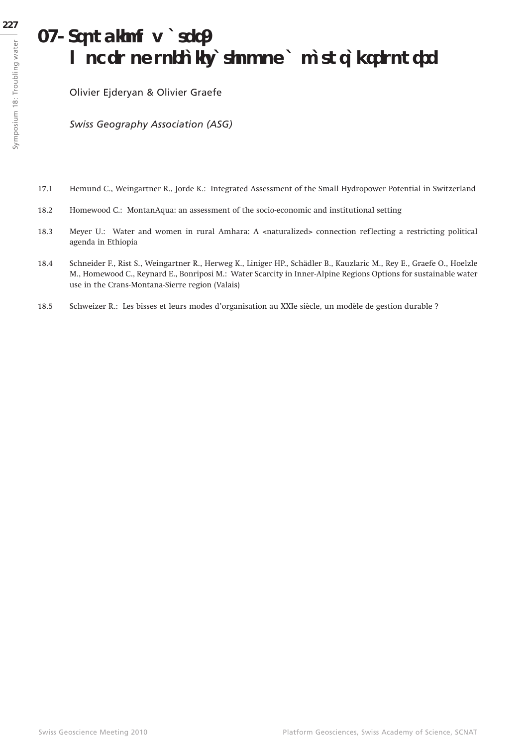# **18. Troubling water: modes of socialization of a natural resource**

Olivier Ejderyan & Olivier Graefe

*Swiss Geography Association (ASG)*

- 17.1 Hemund C., Weingartner R., Jorde K.: Integrated Assessment of the Small Hydropower Potential in Switzerland
- 18.2 Homewood C.: MontanAqua: an assessment of the socio-economic and institutional setting
- 18.3 Meyer U.: Water and women in rural Amhara: A <naturalized> connection reflecting a restricting political agenda in Ethiopia
- 18.4 Schneider F., Rist S., Weingartner R., Herweg K., Liniger HP., Schädler B., Kauzlaric M., Rey E., Graefe O., Hoelzle M., Homewood C., Reynard E., Bonriposi M.: Water Scarcity in Inner-Alpine Regions Options for sustainable water use in the Crans-Montana-Sierre region (Valais)
- 18.5 Schweizer R.: Les bisses et leurs modes d'organisation au XXIe siècle, un modèle de gestion durable ?

Symposium 18: Troubling water

Symposium 18: Troubling water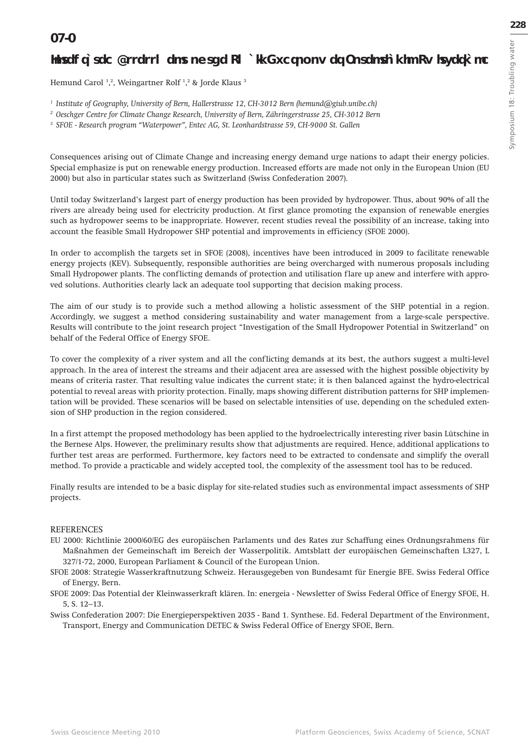### **Integrated Assessment of the Small Hydropower Potential in Switzerland**

Hemund Carol <sup>1</sup>,<sup>2</sup>, Weingartner Rolf <sup>1</sup>,<sup>2</sup> & Jorde Klaus <sup>3</sup>

*1 Institute of Geography, University of Bern, Hallerstrasse 12, CH-3012 Bern (hemund@giub.unibe.ch)*

*2 Oeschger Centre for Climate Change Research, University of Bern, Zähringerstrasse 25, CH-3012 Bern*

*3 SFOE - Research program "Waterpower", Entec AG, St. Leonhardstrasse 59, CH-9000 St. Gallen*

Consequences arising out of Climate Change and increasing energy demand urge nations to adapt their energy policies. Special emphasize is put on renewable energy production. Increased efforts are made not only in the European Union (EU 2000) but also in particular states such as Switzerland (Swiss Confederation 2007).

Until today Switzerland's largest part of energy production has been provided by hydropower. Thus, about 90% of all the rivers are already being used for electricity production. At first glance promoting the expansion of renewable energies such as hydropower seems to be inappropriate. However, recent studies reveal the possibility of an increase, taking into account the feasible Small Hydropower SHP potential and improvements in efficiency (SFOE 2000).

In order to accomplish the targets set in SFOE (2008), incentives have been introduced in 2009 to facilitate renewable energy projects (KEV). Subsequently, responsible authorities are being overcharged with numerous proposals including Small Hydropower plants. The conflicting demands of protection and utilisation flare up anew and interfere with approved solutions. Authorities clearly lack an adequate tool supporting that decision making process.

The aim of our study is to provide such a method allowing a holistic assessment of the SHP potential in a region. Accordingly, we suggest a method considering sustainability and water management from a large-scale perspective. Results will contribute to the joint research project "Investigation of the Small Hydropower Potential in Switzerland" on behalf of the Federal Office of Energy SFOE.

To cover the complexity of a river system and all the conflicting demands at its best, the authors suggest a multi-level approach. In the area of interest the streams and their adjacent area are assessed with the highest possible objectivity by means of criteria raster. That resulting value indicates the current state; it is then balanced against the hydro-electrical potential to reveal areas with priority protection. Finally, maps showing different distribution patterns for SHP implementation will be provided. These scenarios will be based on selectable intensities of use, depending on the scheduled extension of SHP production in the region considered.

In a first attempt the proposed methodology has been applied to the hydroelectrically interesting river basin Lütschine in the Bernese Alps. However, the preliminary results show that adjustments are required. Hence, additional applications to further test areas are performed. Furthermore, key factors need to be extracted to condensate and simplify the overall method. To provide a practicable and widely accepted tool, the complexity of the assessment tool has to be reduced.

Finally results are intended to be a basic display for site-related studies such as environmental impact assessments of SHP projects.

#### REFERENCES

EU 2000: Richtlinie 2000/60/EG des europäischen Parlaments und des Rates zur Schaffung eines Ordnungsrahmens für Maßnahmen der Gemeinschaft im Bereich der Wasserpolitik. Amtsblatt der europäischen Gemeinschaften L327, L 327/1-72, 2000, European Parliament & Council of the European Union.

SFOE 2008: Strategie Wasserkraftnutzung Schweiz. Herausgegeben von Bundesamt für Energie BFE. Swiss Federal Office of Energy, Bern.

SFOE 2009: Das Potential der Kleinwasserkraft klären. In: energeia - Newsletter of Swiss Federal Office of Energy SFOE, H. 5, S. 12–13.

Swiss Confederation 2007: Die Energieperspektiven 2035 - Band 1. Synthese. Ed. Federal Department of the Environment, Transport, Energy and Communication DETEC & Swiss Federal Office of Energy SFOE, Bern.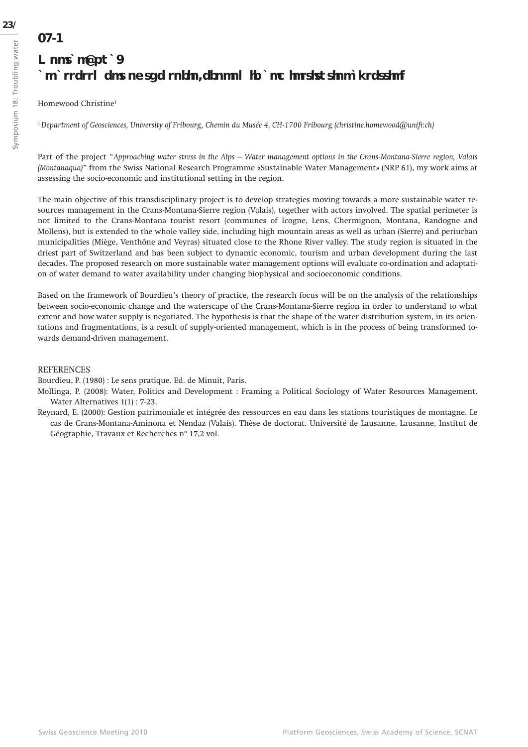## **MontanAqua: an assessment of the socio-economic and institutional setting**

#### Homewood Christine1

**18.2**

*1 Department of Geosciences, University of Fribourg, Chemin du Musée 4, CH-1700 Fribourg (christine.homewood@unifr.ch)*

Part of the project "*Approaching water stress in the Alps – Water management options in the Crans-Montana-Sierre region, Valais (Montanaqua)*" from the Swiss National Research Programme «Sustainable Water Management» (NRP 61), my work aims at assessing the socio-economic and institutional setting in the region.

The main objective of this transdisciplinary project is to develop strategies moving towards a more sustainable water resources management in the Crans-Montana-Sierre region (Valais), together with actors involved. The spatial perimeter is not limited to the Crans-Montana tourist resort (communes of Icogne, Lens, Chermignon, Montana, Randogne and Mollens), but is extended to the whole valley side, including high mountain areas as well as urban (Sierre) and periurban municipalities (Miège, Venthône and Veyras) situated close to the Rhone River valley. The study region is situated in the driest part of Switzerland and has been subject to dynamic economic, tourism and urban development during the last decades. The proposed research on more sustainable water management options will evaluate co-ordination and adaptation of water demand to water availability under changing biophysical and socioeconomic conditions.

Based on the framework of Bourdieu's theory of practice, the research focus will be on the analysis of the relationships between socio-economic change and the waterscape of the Crans-Montana-Sierre region in order to understand to what extent and how water supply is negotiated. The hypothesis is that the shape of the water distribution system, in its orientations and fragmentations, is a result of supply-oriented management, which is in the process of being transformed towards demand-driven management.

#### REFERENCES

Bourdieu, P. (1980) : Le sens pratique. Ed. de Minuit, Paris.

- Mollinga, P. (2008): Water, Politics and Development : Framing a Political Sociology of Water Resources Management. Water Alternatives 1(1) : 7-23.
- Reynard, E. (2000): Gestion patrimoniale et intégrée des ressources en eau dans les stations touristiques de montagne. Le cas de Crans-Montana-Aminona et Nendaz (Valais). Thèse de doctorat. Université de Lausanne, Lausanne, Institut de Géographie, Travaux et Recherches n° 17,2 vol.

Symposium 18: Troubling water

Symposium 18: Troubling water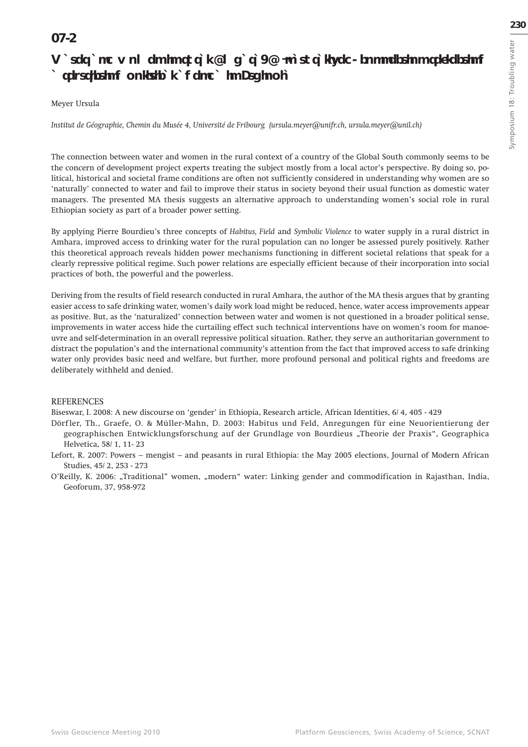### **18.3**

### Water and women in rural Amhara: A 'naturalized' connection reflecting **a restricting political agenda in Ethiopia**

#### Meyer Ursula

*Institut de Géographie, Chemin du Musée 4, Université de Fribourg (ursula.meyer@unifr.ch, ursula.meyer@unil.ch)* 

The connection between water and women in the rural context of a country of the Global South commonly seems to be the concern of development project experts treating the subject mostly from a local actor's perspective. By doing so, political, historical and societal frame conditions are often not sufficiently considered in understanding why women are so 'naturally' connected to water and fail to improve their status in society beyond their usual function as domestic water managers. The presented MA thesis suggests an alternative approach to understanding women's social role in rural Ethiopian society as part of a broader power setting.

By applying Pierre Bourdieu's three concepts of *Habitus, Field* and *Symbolic Violence* to water supply in a rural district in Amhara, improved access to drinking water for the rural population can no longer be assessed purely positively. Rather this theoretical approach reveals hidden power mechanisms functioning in different societal relations that speak for a clearly repressive political regime. Such power relations are especially efficient because of their incorporation into social practices of both, the powerful and the powerless.

Deriving from the results of field research conducted in rural Amhara, the author of the MA thesis argues that by granting easier access to safe drinking water, women's daily work load might be reduced, hence, water access improvements appear as positive. But, as the 'naturalized' connection between water and women is not questioned in a broader political sense, improvements in water access hide the curtailing effect such technical interventions have on women's room for manoeuvre and self-determination in an overall repressive political situation. Rather, they serve an authoritarian government to distract the population's and the international community's attention from the fact that improved access to safe drinking water only provides basic need and welfare, but further, more profound personal and political rights and freedoms are deliberately withheld and denied.

#### **REFERENCES**

Biseswar, I. 2008: A new discourse on 'gender' in Ethiopia, Research article, African Identities, 6/ 4, 405 - 429

- Dörf ler, Th., Graefe, O. & Müller-Mahn, D. 2003: Habitus und Feld, Anregungen für eine Neuorientierung der geographischen Entwicklungsforschung auf der Grundlage von Bourdieus "Theorie der Praxis", Geographica Helvetica, 58/ 1, 11- 23
- Lefort, R. 2007: Powers mengist and peasants in rural Ethiopia: the May 2005 elections, Journal of Modern African Studies, 45/ 2, 253 - 273
- O'Reilly, K. 2006: "Traditional" women, "modern" water: Linking gender and commodification in Rajasthan, India, Geoforum, 37, 958-972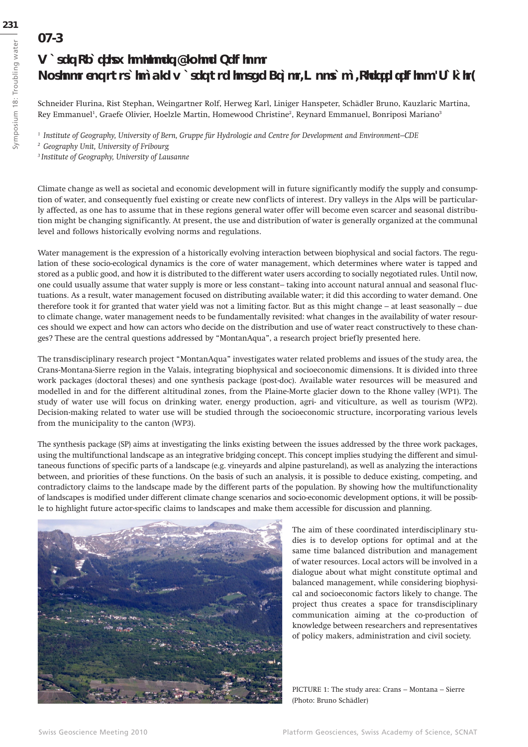### **18.4**

### **Water Scarcity in Inner-Alpine Regions Options for sustainable water use in the Crans-Montana-Sierre region (Valais)**

Schneider Flurina, Rist Stephan, Weingartner Rolf, Herweg Karl, Liniger Hanspeter, Schädler Bruno, Kauzlaric Martina, Rey Emmanuel<sup>1</sup>, Graefe Olivier, Hoelzle Martin, Homewood Christine<sup>2</sup>, Reynard Emmanuel, Bonriposi Mariano<sup>3</sup>

*1 Institute of Geography, University of Bern, Gruppe für Hydrologie and Centre for Development and Environment–CDE*

*2 Geography Unit, University of Fribourg*

*3 Institute of Geography, University of Lausanne*

Climate change as well as societal and economic development will in future significantly modify the supply and consumption of water, and consequently fuel existing or create new conflicts of interest. Dry valleys in the Alps will be particularly affected, as one has to assume that in these regions general water offer will become even scarcer and seasonal distribution might be changing significantly. At present, the use and distribution of water is generally organized at the communal level and follows historically evolving norms and regulations.

Water management is the expression of a historically evolving interaction between biophysical and social factors. The regulation of these socio-ecological dynamics is the core of water management, which determines where water is tapped and stored as a public good, and how it is distributed to the different water users according to socially negotiated rules. Until now, one could usually assume that water supply is more or less constant-taking into account natural annual and seasonal fluctuations. As a result, water management focused on distributing available water; it did this according to water demand. One therefore took it for granted that water yield was not a limiting factor. But as this might change – at least seasonally – due to climate change, water management needs to be fundamentally revisited: what changes in the availability of water resources should we expect and how can actors who decide on the distribution and use of water react constructively to these changes? These are the central questions addressed by "MontanAqua", a research project briefly presented here.

The transdisciplinary research project "MontanAqua" investigates water related problems and issues of the study area, the Crans-Montana-Sierre region in the Valais, integrating biophysical and socioeconomic dimensions. It is divided into three work packages (doctoral theses) and one synthesis package (post-doc). Available water resources will be measured and modelled in and for the different altitudinal zones, from the Plaine-Morte glacier down to the Rhone valley (WP1). The study of water use will focus on drinking water, energy production, agri- and viticulture, as well as tourism (WP2). Decision-making related to water use will be studied through the socioeconomic structure, incorporating various levels from the municipality to the canton (WP3).

The synthesis package (SP) aims at investigating the links existing between the issues addressed by the three work packages, using the multifunctional landscape as an integrative bridging concept. This concept implies studying the different and simultaneous functions of specific parts of a landscape (e.g. vineyards and alpine pastureland), as well as analyzing the interactions between, and priorities of these functions. On the basis of such an analysis, it is possible to deduce existing, competing, and contradictory claims to the landscape made by the different parts of the population. By showing how the multifunctionality of landscapes is modified under different climate change scenarios and socio-economic development options, it will be possible to highlight future actor-specific claims to landscapes and make them accessible for discussion and planning.



The aim of these coordinated interdisciplinary studies is to develop options for optimal and at the same time balanced distribution and management of water resources. Local actors will be involved in a dialogue about what might constitute optimal and balanced management, while considering biophysical and socioeconomic factors likely to change. The project thus creates a space for transdisciplinary communication aiming at the co-production of knowledge between researchers and representatives of policy makers, administration and civil society.

PICTURE 1: The study area: Crans – Montana – Sierre (Photo: Bruno Schädler)

**342**